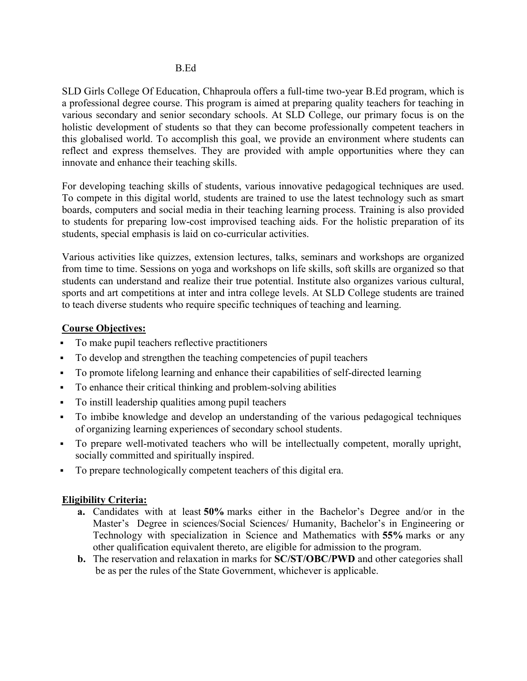SLD Girls College Of Education, Chhaproula offers a full-time two-year B.Ed program, which is a professional degree course. This program is aimed at preparing quality teachers for teaching in various secondary and senior secondary schools. At SLD College, our primary focus is on the holistic development of students so that they can become professionally competent teachers in this globalised world. To accomplish this goal, we provide an environment where students can reflect and express themselves. They are provided with ample opportunities where they can innovate and enhance their teaching skills.

For developing teaching skills of students, various innovative pedagogical techniques are used. To compete in this digital world, students are trained to use the latest technology such as smart boards, computers and social media in their teaching learning process. Training is also provided to students for preparing low-cost improvised teaching aids. For the holistic preparation of its students, special emphasis is laid on co-curricular activities.

Various activities like quizzes, extension lectures, talks, seminars and workshops are organized from time to time. Sessions on yoga and workshops on life skills, soft skills are organized so that students can understand and realize their true potential. Institute also organizes various cultural, sports and art competitions at inter and intra college levels. At SLD College students are trained to teach diverse students who require specific techniques of teaching and learning.

## Course Objectives:

- To make pupil teachers reflective practitioners
- To develop and strengthen the teaching competencies of pupil teachers
- To promote lifelong learning and enhance their capabilities of self-directed learning
- To enhance their critical thinking and problem-solving abilities
- To instill leadership qualities among pupil teachers
- To imbibe knowledge and develop an understanding of the various pedagogical techniques of organizing learning experiences of secondary school students.
- To prepare well-motivated teachers who will be intellectually competent, morally upright, socially committed and spiritually inspired.
- To prepare technologically competent teachers of this digital era.

## Eligibility Criteria:

- a. Candidates with at least 50% marks either in the Bachelor's Degree and/or in the Master's Degree in sciences/Social Sciences/ Humanity, Bachelor's in Engineering or Technology with specialization in Science and Mathematics with 55% marks or any other qualification equivalent thereto, are eligible for admission to the program.
- b. The reservation and relaxation in marks for SC/ST/OBC/PWD and other categories shall be as per the rules of the State Government, whichever is applicable.